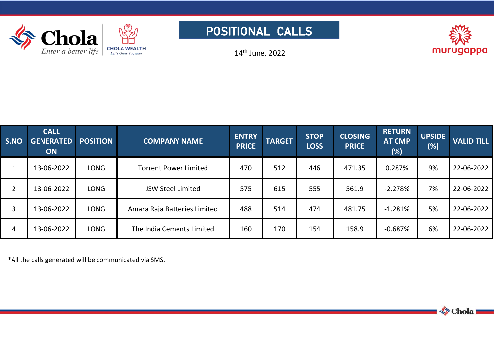





14 th June, 2022

| <b>S.NO</b>    | <b>CALL</b><br><b>GENERATED</b><br><b>ON</b> | <b>POSITION</b> | <b>COMPANY NAME</b>          | <b>ENTRY</b><br><b>PRICE</b> | <b>TARGET</b> | <b>STOP</b><br><b>LOSS</b> | <b>CLOSING</b><br><b>PRICE</b> | <b>RETURN</b><br><b>AT CMP</b><br>(%) | <b>UPSIDE</b><br>(%) | <b>VALID TILL</b> |
|----------------|----------------------------------------------|-----------------|------------------------------|------------------------------|---------------|----------------------------|--------------------------------|---------------------------------------|----------------------|-------------------|
| $\mathbf{1}$   | 13-06-2022                                   | <b>LONG</b>     | <b>Torrent Power Limited</b> | 470                          | 512           | 446                        | 471.35                         | 0.287%                                | 9%                   | 22-06-2022        |
| $\overline{2}$ | 13-06-2022                                   | <b>LONG</b>     | <b>JSW Steel Limited</b>     | 575                          | 615           | 555                        | 561.9                          | $-2.278%$                             | 7%                   | 22-06-2022        |
| $\overline{3}$ | 13-06-2022                                   | <b>LONG</b>     | Amara Raja Batteries Limited | 488                          | 514           | 474                        | 481.75                         | $-1.281\%$                            | 5%                   | 22-06-2022        |
| $\overline{4}$ | 13-06-2022                                   | <b>LONG</b>     | The India Cements Limited    | 160                          | 170           | 154                        | 158.9                          | $-0.687\%$                            | 6%                   | 22-06-2022        |

\*All the callsgenerated will be communicated via SMS.

**S** Chola